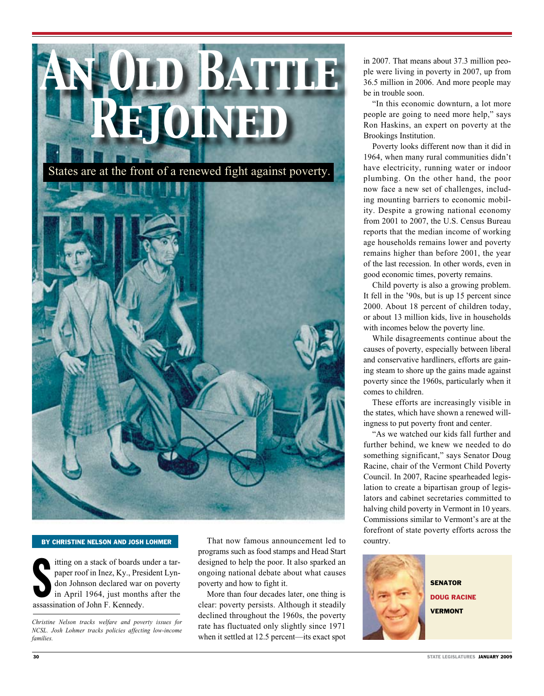

#### By Christine Nelson and Josh Lohmer

The stack of boards a paper roof in Inez, Ky., Pression Johnson declared war in April 1964, just month assassination of John F. Kennedy. itting on a stack of boards under a tarpaper roof in Inez, Ky., President Lyndon Johnson declared war on poverty in April 1964, just months after the

*Christine Nelson tracks welfare and poverty issues for NCSL. Josh Lohmer tracks policies affecting low-income families.* 

That now famous announcement led to programs such as food stamps and Head Start designed to help the poor. It also sparked an ongoing national debate about what causes poverty and how to fight it.

More than four decades later, one thing is clear: poverty persists. Although it steadily declined throughout the 1960s, the poverty rate has fluctuated only slightly since 1971 when it settled at 12.5 percent—its exact spot

in 2007. That means about 37.3 million people were living in poverty in 2007, up from 36.5 million in 2006. And more people may be in trouble soon.

"In this economic downturn, a lot more people are going to need more help," says Ron Haskins, an expert on poverty at the Brookings Institution.

Poverty looks different now than it did in 1964, when many rural communities didn't have electricity, running water or indoor plumbing. On the other hand, the poor now face a new set of challenges, including mounting barriers to economic mobility. Despite a growing national economy from 2001 to 2007, the U.S. Census Bureau reports that the median income of working age households remains lower and poverty remains higher than before 2001, the year of the last recession. In other words, even in good economic times, poverty remains.

Child poverty is also a growing problem. It fell in the '90s, but is up 15 percent since 2000. About 18 percent of children today, or about 13 million kids, live in households with incomes below the poverty line.

While disagreements continue about the causes of poverty, especially between liberal and conservative hardliners, efforts are gaining steam to shore up the gains made against poverty since the 1960s, particularly when it comes to children.

These efforts are increasingly visible in the states, which have shown a renewed willingness to put poverty front and center.

"As we watched our kids fall further and further behind, we knew we needed to do something significant," says Senator Doug Racine, chair of the Vermont Child Poverty Council. In 2007, Racine spearheaded legislation to create a bipartisan group of legislators and cabinet secretaries committed to halving child poverty in Vermont in 10 years. Commissions similar to Vermont's are at the forefront of state poverty efforts across the country.



**SENATOR** Doug Racine **VERMONT**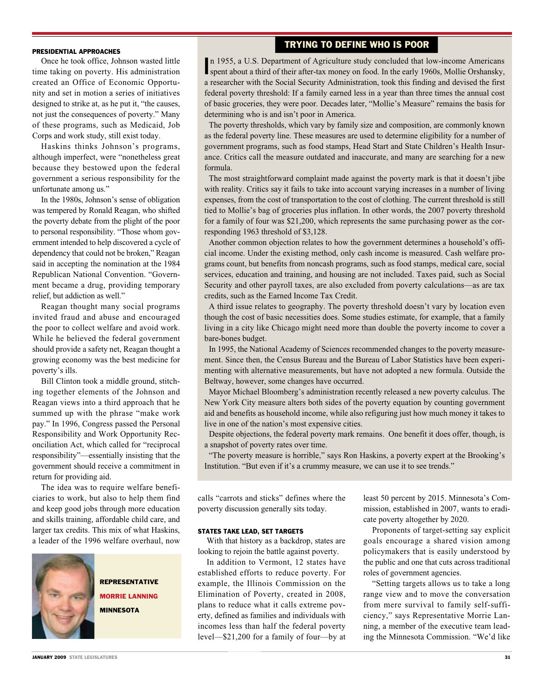# Trying to Define Who is Poor

#### PRESIDENTIAL APPROACHES

Once he took office, Johnson wasted little time taking on poverty. His administration created an Office of Economic Opportunity and set in motion a series of initiatives designed to strike at, as he put it, "the causes, not just the consequences of poverty." Many of these programs, such as Medicaid, Job Corps and work study, still exist today.

Haskins thinks Johnson's programs, although imperfect, were "nonetheless great because they bestowed upon the federal government a serious responsibility for the unfortunate among us."

In the 1980s, Johnson's sense of obligation was tempered by Ronald Reagan, who shifted the poverty debate from the plight of the poor to personal responsibility. "Those whom government intended to help discovered a cycle of dependency that could not be broken," Reagan said in accepting the nomination at the 1984 Republican National Convention. "Government became a drug, providing temporary relief, but addiction as well."

Reagan thought many social programs invited fraud and abuse and encouraged the poor to collect welfare and avoid work. While he believed the federal government should provide a safety net, Reagan thought a growing economy was the best medicine for poverty's ills.

Bill Clinton took a middle ground, stitching together elements of the Johnson and Reagan views into a third approach that he summed up with the phrase "make work pay." In 1996, Congress passed the Personal Responsibility and Work Opportunity Reconciliation Act, which called for "reciprocal responsibility"—essentially insisting that the government should receive a commitment in return for providing aid.

The idea was to require welfare beneficiaries to work, but also to help them find and keep good jobs through more education and skills training, affordable child care, and larger tax credits. This mix of what Haskins, a leader of the 1996 welfare overhaul, now



Representative Morrie Lanning **MINNESOTA** 

n 1955, a U.S. Department of Agriculture study concluded that low-income Americans spent about a third of their after-tax money on food. In the early 1960s, Mollie Orshansky, spent about a third of their after-tax money on food. In the early 1960s, Mollie Orshansky, a researcher with the Social Security Administration, took this finding and devised the first federal poverty threshold: If a family earned less in a year than three times the annual cost of basic groceries, they were poor. Decades later, "Mollie's Measure" remains the basis for determining who is and isn't poor in America.

The poverty thresholds, which vary by family size and composition, are commonly known as the federal poverty line. These measures are used to determine eligibility for a number of government programs, such as food stamps, Head Start and State Children's Health Insurance. Critics call the measure outdated and inaccurate, and many are searching for a new formula.

The most straightforward complaint made against the poverty mark is that it doesn't jibe with reality. Critics say it fails to take into account varying increases in a number of living expenses, from the cost of transportation to the cost of clothing. The current threshold is still tied to Mollie's bag of groceries plus inflation. In other words, the 2007 poverty threshold for a family of four was \$21,200, which represents the same purchasing power as the corresponding 1963 threshold of \$3,128.

Another common objection relates to how the government determines a household's official income. Under the existing method, only cash income is measured. Cash welfare programs count, but benefits from noncash programs, such as food stamps, medical care, social services, education and training, and housing are not included. Taxes paid, such as Social Security and other payroll taxes, are also excluded from poverty calculations—as are tax credits, such as the Earned Income Tax Credit.

A third issue relates to geography. The poverty threshold doesn't vary by location even though the cost of basic necessities does. Some studies estimate, for example, that a family living in a city like Chicago might need more than double the poverty income to cover a bare-bones budget.

In 1995, the National Academy of Sciences recommended changes to the poverty measurement. Since then, the Census Bureau and the Bureau of Labor Statistics have been experimenting with alternative measurements, but have not adopted a new formula. Outside the Beltway, however, some changes have occurred.

Mayor Michael Bloomberg's administration recently released a new poverty calculus. The New York City measure alters both sides of the poverty equation by counting government aid and benefits as household income, while also refiguring just how much money it takes to live in one of the nation's most expensive cities.

Despite objections, the federal poverty mark remains. One benefit it does offer, though, is a snapshot of poverty rates over time.

"The poverty measure is horrible," says Ron Haskins, a poverty expert at the Brooking's Institution. "But even if it's a crummy measure, we can use it to see trends."

calls "carrots and sticks" defines where the poverty discussion generally sits today.

#### STATES TAKE LEAD, SET TARGETS

With that history as a backdrop, states are looking to rejoin the battle against poverty.

In addition to Vermont, 12 states have established efforts to reduce poverty. For example, the Illinois Commission on the Elimination of Poverty, created in 2008, plans to reduce what it calls extreme poverty, defined as families and individuals with incomes less than half the federal poverty level—\$21,200 for a family of four—by at least 50 percent by 2015. Minnesota's Commission, established in 2007, wants to eradicate poverty altogether by 2020.

Proponents of target-setting say explicit goals encourage a shared vision among policymakers that is easily understood by the public and one that cuts across traditional roles of government agencies.

"Setting targets allows us to take a long range view and to move the conversation from mere survival to family self-sufficiency," says Representative Morrie Lanning, a member of the executive team leading the Minnesota Commission. "We'd like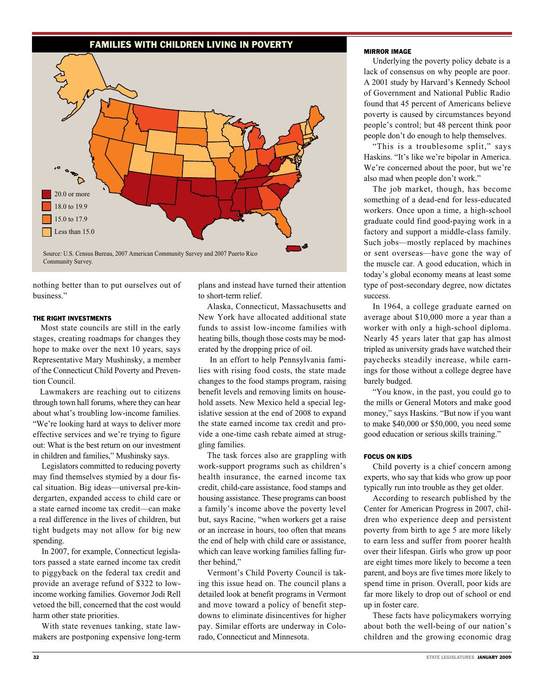## Families with children LIVING IN poverty



nothing better than to put ourselves out of business."

#### THE RIGHT INVESTMENTS

 Most state councils are still in the early stages, creating roadmaps for changes they hope to make over the next 10 years, says Representative Mary Mushinsky, a member of the Connecticut Child Poverty and Prevention Council.

Lawmakers are reaching out to citizens through town hall forums, where they can hear about what's troubling low-income families. "We're looking hard at ways to deliver more effective services and we're trying to figure out: What is the best return on our investment in children and families," Mushinsky says.

Legislators committed to reducing poverty may find themselves stymied by a dour fiscal situation. Big ideas—universal pre-kindergarten, expanded access to child care or a state earned income tax credit—can make a real difference in the lives of children, but tight budgets may not allow for big new spending.

In 2007, for example, Connecticut legislators passed a state earned income tax credit to piggyback on the federal tax credit and provide an average refund of \$322 to lowincome working families. Governor Jodi Rell vetoed the bill, concerned that the cost would harm other state priorities.

With state revenues tanking, state lawmakers are postponing expensive long-term plans and instead have turned their attention to short-term relief.

Alaska, Connecticut, Massachusetts and New York have allocated additional state funds to assist low-income families with heating bills, though those costs may be moderated by the dropping price of oil.

 In an effort to help Pennsylvania families with rising food costs, the state made changes to the food stamps program, raising benefit levels and removing limits on household assets. New Mexico held a special legislative session at the end of 2008 to expand the state earned income tax credit and provide a one-time cash rebate aimed at struggling families.

The task forces also are grappling with work-support programs such as children's health insurance, the earned income tax credit, child-care assistance, food stamps and housing assistance. These programs can boost a family's income above the poverty level but, says Racine, "when workers get a raise or an increase in hours, too often that means the end of help with child care or assistance, which can leave working families falling further behind,"

Vermont's Child Poverty Council is taking this issue head on. The council plans a detailed look at benefit programs in Vermont and move toward a policy of benefit stepdowns to eliminate disincentives for higher pay. Similar efforts are underway in Colorado, Connecticut and Minnesota.

### MIRROR IMAGE

Underlying the poverty policy debate is a lack of consensus on why people are poor. A 2001 study by Harvard's Kennedy School of Government and National Public Radio found that 45 percent of Americans believe poverty is caused by circumstances beyond people's control; but 48 percent think poor people don't do enough to help themselves.

"This is a troublesome split," says Haskins. "It's like we're bipolar in America. We're concerned about the poor, but we're also mad when people don't work."

The job market, though, has become something of a dead-end for less-educated workers. Once upon a time, a high-school graduate could find good-paying work in a factory and support a middle-class family. Such jobs—mostly replaced by machines or sent overseas—have gone the way of the muscle car. A good education, which in today's global economy means at least some type of post-secondary degree, now dictates success.

In 1964, a college graduate earned on average about \$10,000 more a year than a worker with only a high-school diploma. Nearly 45 years later that gap has almost tripled as university grads have watched their paychecks steadily increase, while earnings for those without a college degree have barely budged.

"You know, in the past, you could go to the mills or General Motors and make good money," says Haskins. "But now if you want to make \$40,000 or \$50,000, you need some good education or serious skills training."

#### FOCUS ON KIDS

Child poverty is a chief concern among experts, who say that kids who grow up poor typically run into trouble as they get older.

According to research published by the Center for American Progress in 2007, children who experience deep and persistent poverty from birth to age 5 are more likely to earn less and suffer from poorer health over their lifespan. Girls who grow up poor are eight times more likely to become a teen parent, and boys are five times more likely to spend time in prison. Overall, poor kids are far more likely to drop out of school or end up in foster care.

These facts have policymakers worrying about both the well-being of our nation's children and the growing economic drag